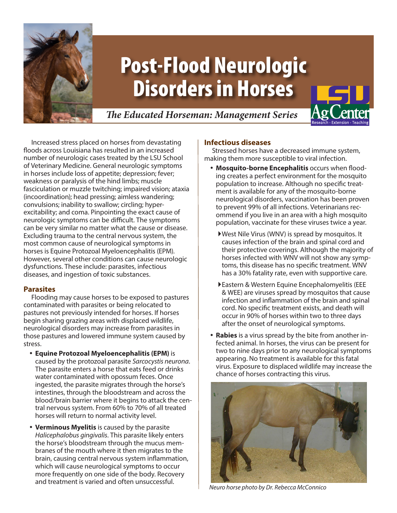

# Post-Flood Neurologic Disorders in Horses

# *The Educated Horseman: Management Series*



Increased stress placed on horses from devastating floods across Louisiana has resulted in an increased number of neurologic cases treated by the LSU School of Veterinary Medicine. General neurologic symptoms in horses include loss of appetite; depression; fever; weakness or paralysis of the hind limbs; muscle fasciculation or muzzle twitching; impaired vision; ataxia (incoordination); head pressing; aimless wandering; convulsions; inability to swallow; circling; hyperexcitability; and coma. Pinpointing the exact cause of neurologic symptoms can be difficult. The symptoms can be very similar no matter what the cause or disease. Excluding trauma to the central nervous system, the most common cause of neurological symptoms in horses is Equine Protozoal Myeloencephalitis (EPM). However, several other conditions can cause neurologic dysfunctions. These include: parasites, infectious diseases, and ingestion of toxic substances.

### **Parasites**

Flooding may cause horses to be exposed to pastures contaminated with parasites or being relocated to pastures not previously intended for horses. If horses begin sharing grazing areas with displaced wildlife, neurological disorders may increase from parasites in those pastures and lowered immune system caused by stress.

- y **Equine Protozoal Myeloencephalitis (EPM)** is caused by the protozoal parasite *Sarcocystis neurona*. The parasite enters a horse that eats feed or drinks water contaminated with opossum feces. Once ingested, the parasite migrates through the horse's intestines, through the bloodstream and across the blood/brain barrier where it begins to attack the central nervous system. From 60% to 70% of all treated horses will return to normal activity level.
- **Verminous Myelitis** is caused by the parasite *Halicephalobus gingivalis*. This parasite likely enters the horse's bloodstream through the mucus membranes of the mouth where it then migrates to the brain, causing central nervous system inflammation, which will cause neurological symptoms to occur more frequently on one side of the body. Recovery and treatment is varied and often unsuccessful.

## **Infectious diseases**

Stressed horses have a decreased immune system, making them more susceptible to viral infection.

- **Mosquito-borne Encephalitis occurs when flood**ing creates a perfect environment for the mosquito population to increase. Although no specific treatment is available for any of the mosquito-borne neurological disorders, vaccination has been proven to prevent 99% of all infections. Veterinarians recommend if you live in an area with a high mosquito population, vaccinate for these viruses twice a year.
	- `West Nile Virus (WNV) is spread by mosquitos. It causes infection of the brain and spinal cord and their protective coverings. Although the majority of horses infected with WNV will not show any symptoms, this disease has no specific treatment. WNV has a 30% fatality rate, even with supportive care.
	- `Eastern & Western Equine Encephalomyelitis (EEE & WEE) are viruses spread by mosquitos that cause infection and inflammation of the brain and spinal cord. No specific treatment exists, and death will occur in 90% of horses within two to three days after the onset of neurological symptoms.
- **Rabies** is a virus spread by the bite from another infected animal. In horses, the virus can be present for two to nine days prior to any neurological symptoms appearing. No treatment is available for this fatal virus. Exposure to displaced wildlife may increase the chance of horses contracting this virus.



*Neuro horse photo by Dr. Rebecca McConnico*